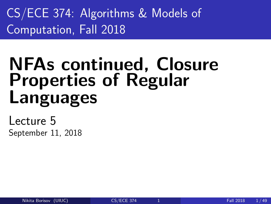<span id="page-0-0"></span>CS/ECE 374: Algorithms & Models of Computation, Fall 2018

# NFAs continued, Closure Properties of Regular Languages

Lecture 5 September 11, 2018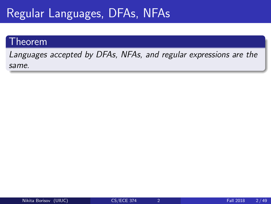# Regular Languages, DFAs, NFAs

## Theorem

Languages accepted by DFAs, NFAs, and regular expressions are the same.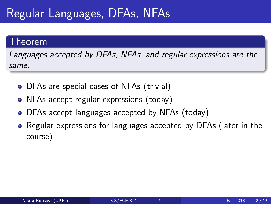# Regular Languages, DFAs, NFAs

## Theorem

Languages accepted by DFAs, NFAs, and regular expressions are the same.

- DFAs are special cases of NFAs (trivial)
- NFAs accept regular expressions (today)
- DFAs accept languages accepted by NFAs (today)
- Regular expressions for languages accepted by DFAs (later in the course)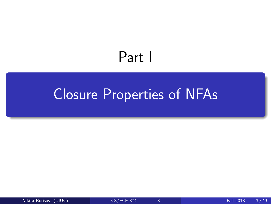# Part I

# <span id="page-3-0"></span>[Closure Properties of NFAs](#page-3-0)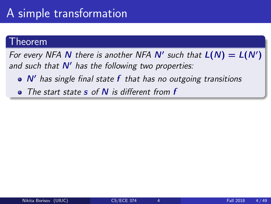### <sup>-</sup>heorem

For every NFA N there is another NFA N' such that  $L(N) = L(N')$ and such that  $N'$  has the following two properties:

- $\bullet$  N' has single final state f that has no outgoing transitions
- The start state  $s$  of  $N$  is different from  $f$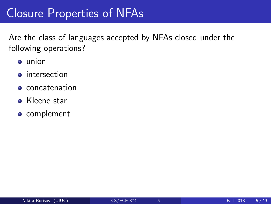# Closure Properties of NFAs

Are the class of languages accepted by NFAs closed under the following operations?

- union
- **o** intersection
- **e** concatenation
- **Kleene star**
- **o** complement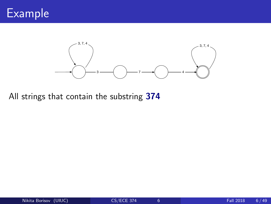



All strings that contain the substring 374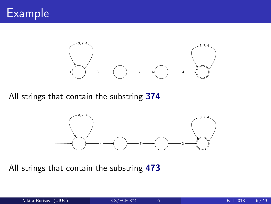



All strings that contain the substring 374



All strings that contain the substring 473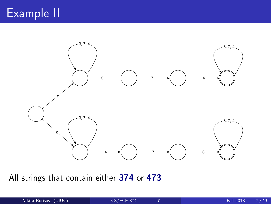# Example II



All strings that contain either 374 or 473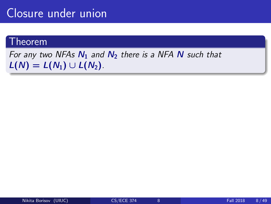# Closure under union

## Theorem

## For any two NFAs  $N_1$  and  $N_2$  there is a NFA N such that  $L(N) = L(N_1) \cup L(N_2)$ .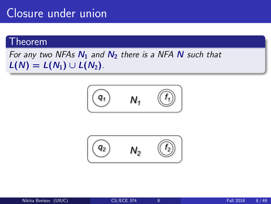# Closure under union

## Theorem

For any two NFAs  $N_1$  and  $N_2$  there is a NFA N such that  $L(N) = L(N_1) \cup L(N_2)$ .



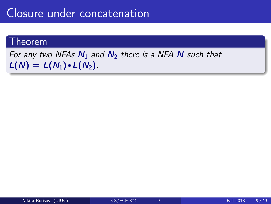## Closure under concatenation

### Theorem

For any two NFAs  $N_1$  and  $N_2$  there is a NFA N such that  $L(N) = L(N_1) \cdot L(N_2)$ .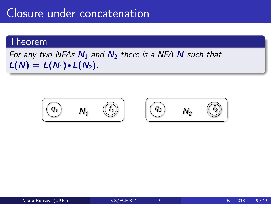## Closure under concatenation

### Theorem

## For any two NFAs  $N_1$  and  $N_2$  there is a NFA N such that  $L(N) = L(N_1) \cdot L(N_2)$ .

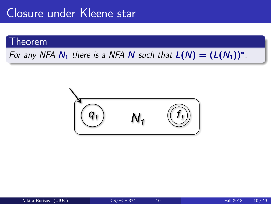### Theorem

For any NFA  $N_1$  there is a NFA N such that  $L(N) = (L(N_1))^*$ .

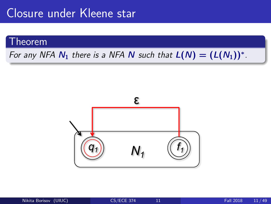## Theorem

## For any NFA  $N_1$  there is a NFA N such that  $L(N) = (L(N_1))^*$ .

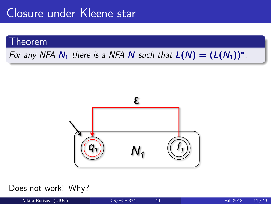## Theorem

## For any NFA  $N_1$  there is a NFA N such that  $L(N) = (L(N_1))^*$ .



#### Does not work! Why?

Nikita Borisov (UIUC) [CS/ECE 374](#page-0-0) 11 Fall 2018 11 / 49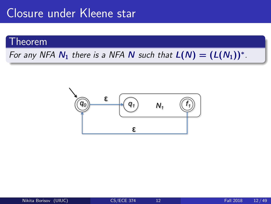### Theorem

For any NFA  $N_1$  there is a NFA N such that  $L(N) = (L(N_1))^*$ .

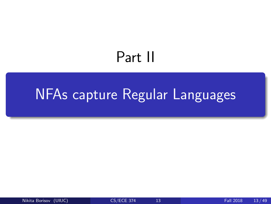# Part II

# <span id="page-17-0"></span>[NFAs capture Regular Languages](#page-17-0)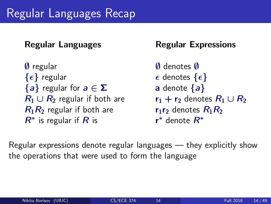# Regular Languages Recap

∅ regular ∅ denotes ∅  $\{\epsilon\}$  regular  $\epsilon$  denotes  $\{\epsilon\}$  ${a}$  regular for  $a \in \Sigma$  a denote  ${a}$  $R_1 \cup R_2$  regular if both are  $r_1 + r_2$  denotes  $R_1 \cup R_2$  $R_1R_2$  regular if both are  $r_1r_2$  denotes  $R_1R_2$  $R^*$  is regular if  $R$  is  $r$ 

Regular Languages Regular Expressions

 $*$  denote  $R^*$ 

Regular expressions denote regular languages — they explicitly show the operations that were used to form the language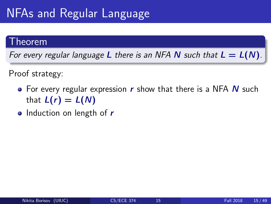## Theorem

For every regular language L there is an NFA N such that  $L = L(N)$ .

Proof strategy:

- $\bullet$  For every regular expression r show that there is a NFA N such that  $L(r) = L(N)$
- Induction on length of  $r$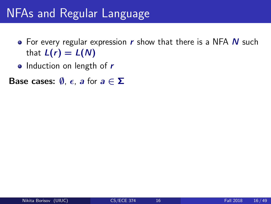- For every regular expression  $r$  show that there is a NFA  $N$  such that  $L(r) = L(N)$
- Induction on length of  $r$

**Base cases:**  $\emptyset$ ,  $\epsilon$ , a for  $a \in \Sigma$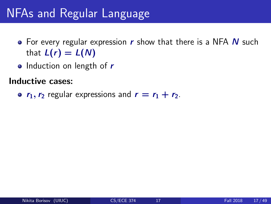- For every regular expression  $r$  show that there is a NFA  $N$  such that  $L(r) = L(N)$
- Induction on length of  $r$

Inductive cases:

•  $r_1$ ,  $r_2$  regular expressions and  $r = r_1 + r_2$ .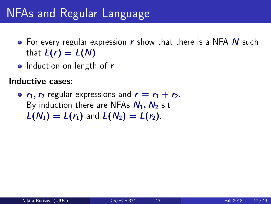- For every regular expression  $r$  show that there is a NFA  $N$  such that  $L(r) = L(N)$
- Induction on length of  $r$

Inductive cases:

•  $r_1, r_2$  regular expressions and  $r = r_1 + r_2$ . By induction there are NFAs  $N_1$ ,  $N_2$  s.t  $L(N_1) = L(r_1)$  and  $L(N_2) = L(r_2)$ .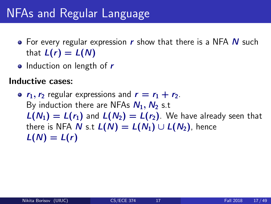- For every regular expression  $r$  show that there is a NFA  $N$  such that  $L(r) = L(N)$
- Induction on length of  $r$

Inductive cases:

•  $r_1, r_2$  regular expressions and  $r = r_1 + r_2$ . By induction there are NFAs  $N_1$ ,  $N_2$  s.t  $L(N_1) = L(r_1)$  and  $L(N_2) = L(r_2)$ . We have already seen that there is NFA N s.t  $L(N) = L(N_1) \cup L(N_2)$ , hence  $L(N) = L(r)$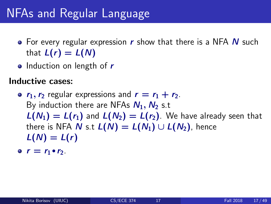- For every regular expression  $r$  show that there is a NFA  $N$  such that  $L(r) = L(N)$
- Induction on length of  $r$

Inductive cases:

•  $r_1, r_2$  regular expressions and  $r = r_1 + r_2$ . By induction there are NFAs  $N_1, N_2$  s.t  $L(N_1) = L(r_1)$  and  $L(N_2) = L(r_2)$ . We have already seen that there is NFA N s.t  $L(N) = L(N_1) \cup L(N_2)$ , hence  $L(N) = L(r)$ 

 $r = r_1 \cdot r_2$ .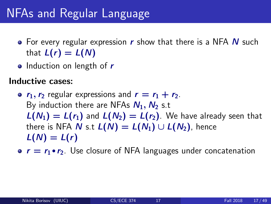- For every regular expression  $r$  show that there is a NFA  $N$  such that  $L(r) = L(N)$
- Induction on length of  $r$

Inductive cases:

- $r_1, r_2$  regular expressions and  $r = r_1 + r_2$ . By induction there are NFAs  $N_1$ ,  $N_2$  s.t  $L(N_1) = L(r_1)$  and  $L(N_2) = L(r_2)$ . We have already seen that there is NFA N s.t  $L(N) = L(N_1) \cup L(N_2)$ , hence  $L(N) = L(r)$
- $r = r_1 \cdot r_2$ . Use closure of NFA languages under concatenation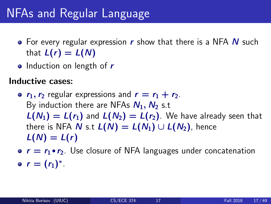- For every regular expression  $r$  show that there is a NFA  $N$  such that  $L(r) = L(N)$
- Induction on length of  $r$

Inductive cases:

- $r_1, r_2$  regular expressions and  $r = r_1 + r_2$ . By induction there are NFAs  $N_1, N_2$  s.t  $L(N_1) = L(r_1)$  and  $L(N_2) = L(r_2)$ . We have already seen that there is NFA N s.t  $L(N) = L(N_1) \cup L(N_2)$ , hence  $L(N) = L(r)$
- $r = r_1 \cdot r_2$ . Use closure of NFA languages under concatenation  $r = (r_1)^*$ .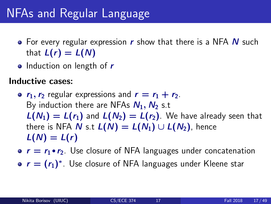- For every regular expression  $r$  show that there is a NFA  $N$  such that  $L(r) = L(N)$
- Induction on length of  $r$

Inductive cases:

- $r_1, r_2$  regular expressions and  $r = r_1 + r_2$ . By induction there are NFAs  $N_1, N_2$  s.t  $L(N_1) = L(r_1)$  and  $L(N_2) = L(r_2)$ . We have already seen that there is NFA N s.t  $L(N) = L(N_1) \cup L(N_2)$ , hence  $L(N) = L(r)$
- $r = r_1 \cdot r_2$ . Use closure of NFA languages under concatenation
- $r = (r_1)^*$ . Use closure of NFA languages under Kleene star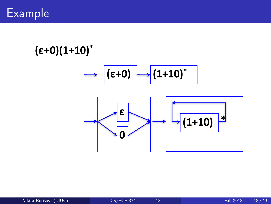

# **(ε+0)(1+10)\***

$$
\longrightarrow \boxed{(\epsilon+0)} \longrightarrow \boxed{1+10}^*
$$

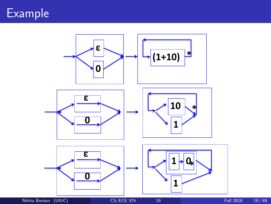

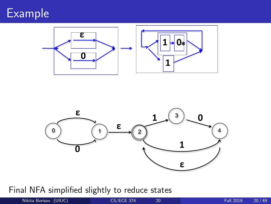# Example





Final NFA simplified slightly to reduce states

Nikita Borisov (UIUC) [CS/ECE 374](#page-0-0) 20 Fall 2018 20/49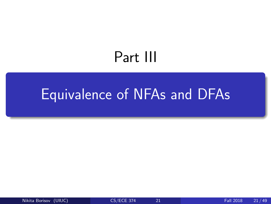# Part III

# <span id="page-31-0"></span>[Equivalence of NFAs and DFAs](#page-31-0)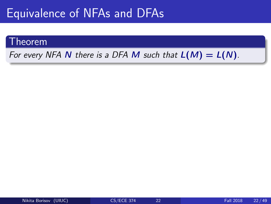# Equivalence of NFAs and DFAs

### Theorem

For every NFA N there is a DFA M such that  $L(M) = L(N)$ .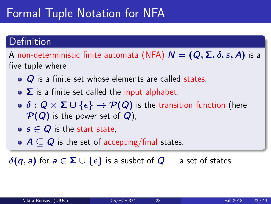# Formal Tuple Notation for NFA

## Definition

A non-deterministic finite automata (NFA)  $N = (Q, \Sigma, \delta, s, A)$  is a five tuple where

- $\bullet$   $\alpha$  is a finite set whose elements are called states,
- $\bullet$   $\Sigma$  is a finite set called the input alphabet,
- $\bullet \ \delta : Q \times \Sigma \cup \{\epsilon\} \rightarrow \mathcal{P}(Q)$  is the transition function (here  $\mathcal{P}(Q)$  is the power set of  $Q$ ),
- $\bullet$  s  $\in$  Q is the start state.
- $\bullet$   $A \subset Q$  is the set of accepting/final states.

 $\delta(q, a)$  for  $a \in \Sigma \cup \{\epsilon\}$  is a susbet of  $Q$  — a set of states.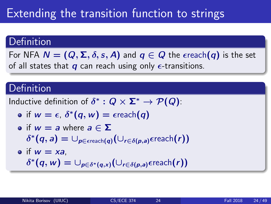# Extending the transition function to strings

## Definition

For NFA  $N = (Q, \Sigma, \delta, s, A)$  and  $q \in Q$  the  $\epsilon$ reach $(q)$  is the set of all states that  $q$  can reach using only  $\epsilon$ -transitions.

## **Definition**

Inductive definition of  $\delta^*: Q \times \mathbf{\Sigma}^* \to \mathcal{P}(Q)$ :

$$
\bullet \text{ if } w = \epsilon, \, \delta^*(q, w) = \epsilon \text{reach}(q)
$$

\n- of 
$$
w = a
$$
 where  $a \in \Sigma$
\n- $\delta^*(q, a) = \bigcup_{p \in \text{erach}(q)} \bigl(\bigcup_{r \in \delta(p, a)} \text{er each}(r)\bigr)$
\n- of  $w = xa$
\n

 $\delta^*(q, w) = \cup_{p \in \delta^*(q, x)} (\cup_{r \in \delta(p, a)} \epsilon$ reach $(r))$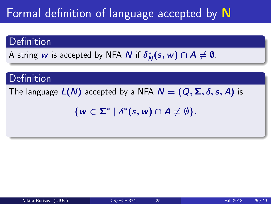# Formal definition of language accepted by N

## Definition

A string  $w$  is accepted by NFA  $N$  if  $\delta^*_{\Lambda}$  $N^*(s, w) \cap A \neq \emptyset$ .

## **Definition**

The language  $L(N)$  accepted by a NFA  $N = (Q, \Sigma, \delta, s, A)$  is

 $\{w \in \Sigma^* \mid \delta^*(s, w) \cap A \neq \emptyset\}.$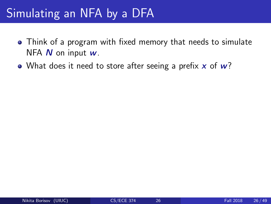- Think of a program with fixed memory that needs to simulate NFA  $N$  on input  $w$ .
- What does it need to store after seeing a prefix  $x$  of  $w$ ?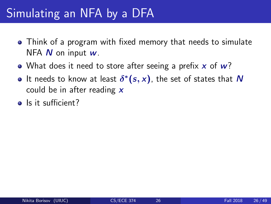- Think of a program with fixed memory that needs to simulate NFA  $N$  on input  $w$ .
- What does it need to store after seeing a prefix  $x$  of  $w$ ?
- It needs to know at least  $\delta^*(s,x)$ , the set of states that  $N$ could be in after reading  $\boldsymbol{x}$
- Is it sufficient?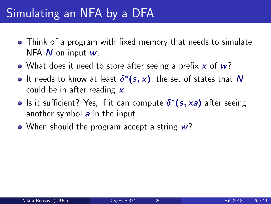- Think of a program with fixed memory that needs to simulate NFA  $N$  on input  $w$ .
- What does it need to store after seeing a prefix  $x$  of  $w$ ?
- It needs to know at least  $\delta^*(s,x)$ , the set of states that  $N$ could be in after reading  $x$
- Is it sufficient? Yes, if it can compute  $\delta^*(s, xa)$  after seeing another symbol  $a$  in the input.
- When should the program accept a string  $w$ ?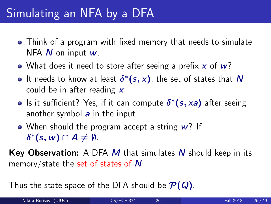- Think of a program with fixed memory that needs to simulate NFA  $N$  on input  $w$ .
- What does it need to store after seeing a prefix  $x$  of  $w$ ?
- It needs to know at least  $\delta^*(s,x)$ , the set of states that  $N$ could be in after reading  $x$
- Is it sufficient? Yes, if it can compute  $\delta^*(s, xa)$  after seeing another symbol  $a$  in the input.
- When should the program accept a string  $w$ ? If  $\delta^*(s, w) \cap A \neq \emptyset$ .

**Key Observation:** A DFA  $M$  that simulates  $N$  should keep in its memory/state the set of states of N

Thus the state space of the DFA should be  $\mathcal{P}(Q)$ .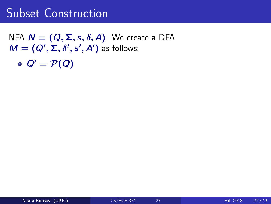NFA  $N = (Q, \Sigma, s, \delta, A)$ . We create a DFA  $M = (Q', \Sigma, \delta', s', A')$  as follows:

 $Q' = \mathcal{P}(Q)$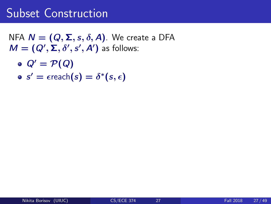NFA  $N = (Q, \Sigma, s, \delta, A)$ . We create a DFA  $M = (Q', \Sigma, \delta', s', A')$  as follows:

- $Q' = \mathcal{P}(Q)$
- $s' = \epsilon$ reach $(s) = \delta^*(s, \epsilon)$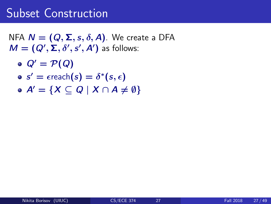NFA  $N = (Q, \Sigma, s, \delta, A)$ . We create a DFA  $M = (Q', \Sigma, \delta', s', A')$  as follows:

- $Q' = \mathcal{P}(Q)$
- $s' = \epsilon$ reach $(s) = \delta^*(s, \epsilon)$
- $\bullet$  A' = {X  $\subset$  Q | X  $\cap$  A  $\neq$  0}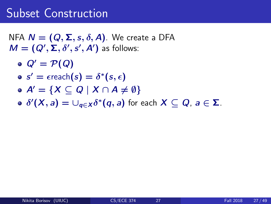NFA  $N = (Q, \Sigma, s, \delta, A)$ . We create a DFA  $M = (Q', \Sigma, \delta', s', A')$  as follows:

- $Q' = \mathcal{P}(Q)$
- $s' = \epsilon$ reach $(s) = \delta^*(s, \epsilon)$
- $\bullet A' = \{X \subseteq Q \mid X \cap A \neq \emptyset\}$
- $\delta^\prime(\overline{X},\overline{a})=\cup_{\overline{q}\in X}\delta^*(\overline{q},\overline{a})$  for each  $X\subseteq Q$ ,  $\overline{a}\in\Sigma$ .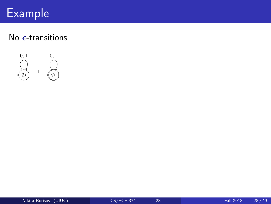# Example

## No  $\epsilon$ -transitions



 ${\overline{\phantom{a}}}$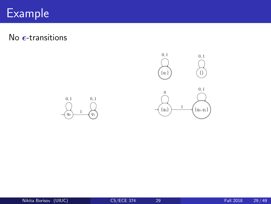#### $\mathsf{Example} \quad \Box$ • <sup>0</sup>  $\overline{\mathcal{L}}_{\rm{max}}$

No  $\epsilon$ -transitions



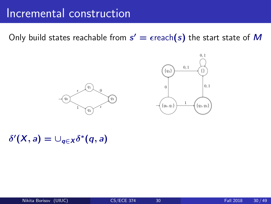#### Incremental construction  $2.02$ . While there are states with missing transitions creating the missing transitions creating any new states creating  $\sim$ that maybe needed.

Only build states reachable from  $s' = \epsilon$ reach $(s)$  the start state of  $M$ 





 $\delta'(X, a) = \cup_{q \in X} \delta^*(q, a)$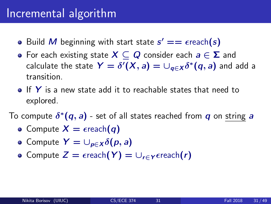## Incremental algorithm

- Build M beginning with start state  $s' == \epsilon$ reach(s)
- For each existing state  $X \subseteq Q$  consider each  $a \in \Sigma$  and calculate the state  $\bm{\mathsf{Y}}=\delta'(\bm{\mathsf{X}},a)=\cup_{\bm{q}\in\bm{\mathsf{X}}}\delta^*(\bm{q},a)$  and add a transition.
- $\bullet$  If Y is a new state add it to reachable states that need to explored.

To compute  $\delta^*(\bm{q},\bm{a})$  - set of all states reached from  $\bm{q}$  on string  $\bm{a}$ 

- Compute  $X = \epsilon$ reach $(q)$
- Compute  $Y = \bigcup_{p \in X} \delta(p, a)$
- Compute  $Z = \epsilon$ reach $(Y) = \bigcup_{r \in Y} \epsilon$ reach $(r)$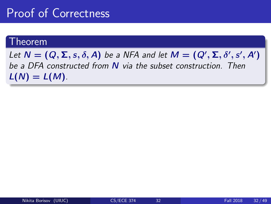## Proof of Correctness

## Theorem

Let  $N = (Q, \Sigma, s, \delta, A)$  be a NFA and let  $M = (Q', \Sigma, \delta', s', A')$ be a DFA constructed from N via the subset construction. Then  $L(N) = L(M)$ .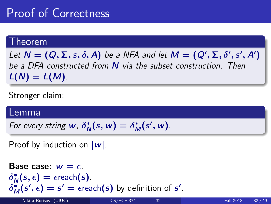# Proof of Correctness

## Theorem

Let  $N = (Q, \Sigma, s, \delta, A)$  be a NFA and let  $M = (Q', \Sigma, \delta', s', A')$ be a DFA constructed from N via the subset construction. Then  $L(N) = L(M)$ .

Stronger claim:

## Lemma

For every string  $w$ ,  $\delta_{\Lambda}^*$  $N^*(s, w) = \delta_M^*(s', w).$ 

Proof by induction on  $|\mathbf{w}|$ .

Base case: 
$$
w = \epsilon
$$
.

\n $\delta_N^*(s, \epsilon) = \epsilon \text{reach}(s)$ .

\n $\delta_M^*(s', \epsilon) = s' = \epsilon \text{reach}(s)$  by definition of  $s'$ .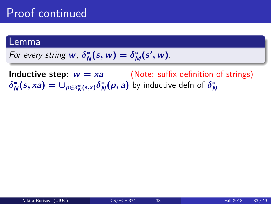## Lemma

For every string 
$$
w
$$
,  $\delta^*_N(s, w) = \delta^*_M(s', w)$ .

**Inductive step:**  $w = xa$  (Note: suffix definition of strings)  $\delta^*_{\Lambda}$  $\psi_N^*(s, xa) = \cup_{p \in \delta_N^*(s, x)} \delta_N^*$  $_{\mathsf{N}}^*(\rho,a)$  by inductive defn of  $\delta^*_\mathsf{N}$ N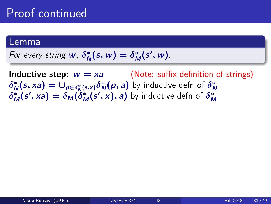### Lemma

For every string  $w$ ,  $\delta^*_{\Lambda}$  $N^*(s, w) = \delta^*_M(s', w).$ 

**Inductive step:**  $w = xa$  (Note: suffix definition of strings)  $\delta^*_{\Lambda}$  $\psi_N^*(s, xa) = \cup_{p \in \delta_N^*(s, x)} \delta_N^*$  $\delta_M^N(s', xa) = \delta_M(\delta_M^*(s', x), a)$  by inductive defn of  $\delta_M^*$  $_{\mathsf{N}}^{\ast}(\rho,a)$  by inductive defn of  $\delta_{\mathsf{N}}^{\ast}$ N M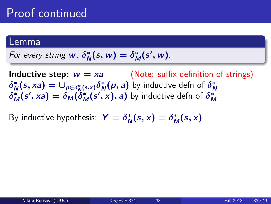### Lemma

For every string  $w$ ,  $\delta^*_{\Lambda}$  $N^*(s, w) = \delta^*_M(s', w).$ 

**Inductive step:**  $w = xa$  (Note: suffix definition of strings)  $\delta^*_{\Lambda}$  $\mathcal{L}_{N}^{*}(s,xa) = \cup_{p\in \delta_{N}^{*}(s,x)}\delta_{N}^{*}$  $_{\mathsf{N}}^{\ast}(\rho,a)$  by inductive defn of  $\delta_{\mathsf{N}}^{\ast}$ N  $\delta_M^*(s', xa) = \delta_M(\delta_M^*(s', x), a)$  by inductive defn of  $\delta_M^*$ M

By inductive hypothesis:  $Y = \delta_N^*$  $N^*(s, x) = \delta_M^*(s, x)$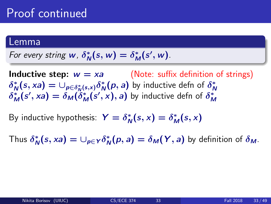### Lemma

For every string  $w$ ,  $\delta^*_{\Lambda}$  $N^*(s, w) = \delta^*_M(s', w).$ 

**Inductive step:**  $w = xa$  (Note: suffix definition of strings)  $\delta^*_{\Lambda}$  $\psi_N^*(s, xa) = \cup_{p \in \delta_N^*(s, x)} \delta_N^*$  $\delta_M^N(s', xa) = \delta_M(\delta_M^*(s', x), a)$  by inductive defn of  $\delta_M^*$  $_{\mathsf{N}}^{\ast}(\rho,a)$  by inductive defn of  $\delta_{\mathsf{N}}^{\ast}$ N M

By inductive hypothesis:  $Y = \delta_N^*$  $N^*(s, x) = \delta_M^*(s, x)$ 

Thus  $\delta^*_\mathsf{A}$  $\chi_N^*(s, xa) = \cup_{p \in Y} \delta_N^*$  $N^*(p, a) = \delta_M(Y, a)$  by definition of  $\delta_M$ .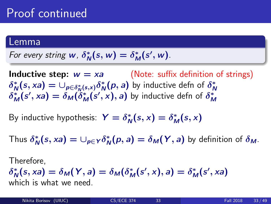### Lemma

For every string 
$$
w
$$
,  $\delta^*_{N}(s, w) = \delta^*_{M}(s', w)$ .

**Inductive step:**  $w = xa$  (Note: suffix definition of strings)  $\delta^*_{\Lambda}$  $\psi_N^*(s, xa) = \cup_{p \in \delta_N^*(s, x)} \delta_N^*$  $\delta_M^N(s', xa) = \delta_M(\delta_M^*(s', x), a)$  by inductive defn of  $\delta_M^*$  $_{\mathsf{N}}^{\ast}(\rho,a)$  by inductive defn of  $\delta_{\mathsf{N}}^{\ast}$ N M

By inductive hypothesis:  $Y = \delta_N^*$  $N^*(s, x) = \delta_M^*(s, x)$ 

Thus  $\delta^*_\mathsf{A}$  $\chi_N^*(s, xa) = \cup_{p \in Y} \delta_N^*$  $N^*(p, a) = \delta_M(Y, a)$  by definition of  $\delta_M$ .

Therefore,

 $\delta^*_{\Lambda}$  $N_0^*(s, xa) = \delta_M(Y, a) = \delta_M(\delta_M^*(s', x), a) = \delta_M^*(s', xa)$ which is what we need.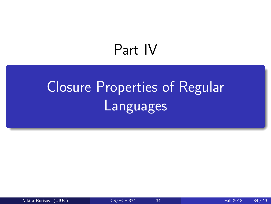# Part IV

# <span id="page-55-0"></span>[Closure Properties of Regular](#page-55-0) [Languages](#page-55-0)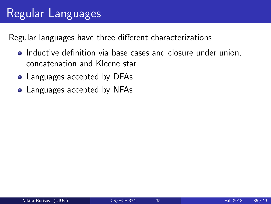# Regular Languages

Regular languages have three different characterizations

- Inductive definition via base cases and closure under union, concatenation and Kleene star
- Languages accepted by DFAs
- Languages accepted by NFAs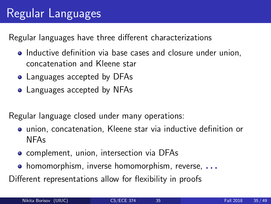# Regular Languages

Regular languages have three different characterizations

- Inductive definition via base cases and closure under union, concatenation and Kleene star
- Languages accepted by DFAs
- Languages accepted by NFAs

Regular language closed under many operations:

- union, concatenation, Kleene star via inductive definition or NFAs
- **•** complement, union, intersection via DFAs
- **•** homomorphism, inverse homomorphism, reverse,  $\ldots$

Different representations allow for flexibility in proofs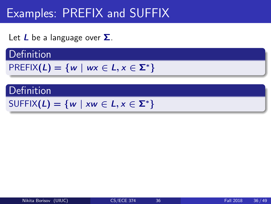# Examples: PREFIX and SUFFIX

Let  $L$  be a language over  $\Sigma$ .

## **Definition**

$$
PREFIX(L)=\{w \mid wx \in L, x \in \Sigma^*\}
$$

## **Definition**

```
SUFFIX(L) = \{w \mid xw \in L, x \in \Sigma^*\}
```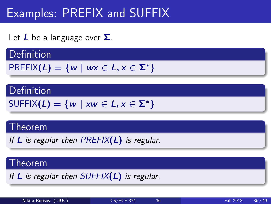# Examples: PREFIX and SUFFIX

Let  $L$  be a language over  $\Sigma$ .

## **Definition**

$$
PREFIX(L)=\{w \mid wx \in L, x \in \Sigma^*\}
$$

## Definition

$$
\text{SUFFIX}(L) = \{w \mid xw \in L, x \in \Sigma^*\}
$$

## Theorem

If  $L$  is regular then PREFIX( $L$ ) is regular.

## Theorem

If  $L$  is regular then  $SUFFIX(L)$  is regular.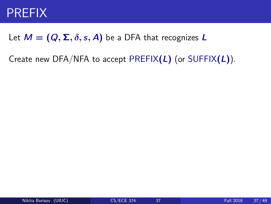## PREFIX

## Let  $M = (Q, \Sigma, \delta, s, A)$  be a DFA that recognizes L

Create new DFA/NFA to accept PREFIX $(L)$  (or SUFFIX $(L)$ ).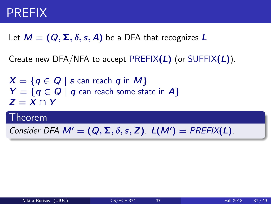## PREFIX

## Let  $M = (Q, \Sigma, \delta, s, A)$  be a DFA that recognizes L

Create new DFA/NFA to accept PREFIX $(L)$  (or SUFFIX $(L)$ ).

 $X = \{q \in Q \mid s$  can reach q in M}  $Y = \{q \in Q \mid q \text{ can reach some state in } A\}$  $Z = X \cap Y$ 

## Theorem

Consider DFA  $M' = (Q, \Sigma, \delta, s, Z)$ .  $L(M') = PREFIX(L)$ .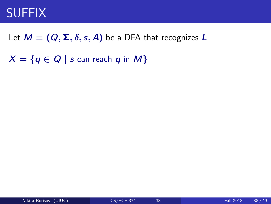## **SUFFIX**

## Let  $M = (Q, \Sigma, \delta, s, A)$  be a DFA that recognizes L

 $X = \{q \in Q \mid s$  can reach q in M}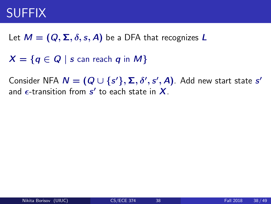# SUFFIX

Let  $M = (Q, \Sigma, \delta, s, A)$  be a DFA that recognizes L

 $X = \{q \in Q \mid s$  can reach q in M}

Consider NFA  $\bm{N} = (\bm{Q} \cup \{s'\}, \bm{\Sigma}, \delta', s', \bm{A})$ . Add new start state  $s'$ and  $\epsilon$ -transition from  $s'$  to each state in  $\boldsymbol{X}.$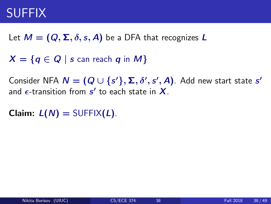# SUFFIX

Let  $M = (Q, \Sigma, \delta, s, A)$  be a DFA that recognizes L

 $X = \{q \in Q \mid s$  can reach q in M}

Consider NFA  $\bm{N} = (\bm{Q} \cup \{s'\}, \bm{\Sigma}, \delta', s', \bm{A})$ . Add new start state  $s'$ and  $\epsilon$ -transition from  $s'$  to each state in  $\boldsymbol{X}.$ 

**Claim:**  $L(N) = \text{SUFFIX}(L)$ .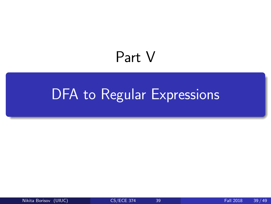# Part V

# <span id="page-65-0"></span>[DFA to Regular Expressions](#page-65-0)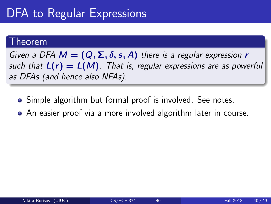# DFA to Regular Expressions

## Theorem

Given a DFA  $M = (Q, \Sigma, \delta, s, A)$  there is a regular expression r such that  $L(r) = L(M)$ . That is, regular expressions are as powerful as DFAs (and hence also NFAs).

- Simple algorithm but formal proof is involved. See notes.
- An easier proof via a more involved algorithm later in course.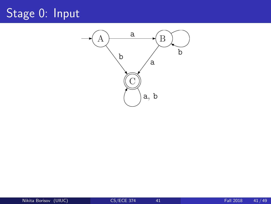# Stage 0: Input

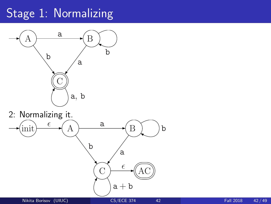# Stage 1: Normalizing



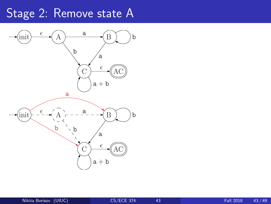# Stage 2: Remove state A

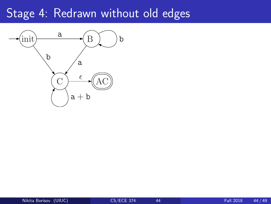## Stage 4: Redrawn without old edges

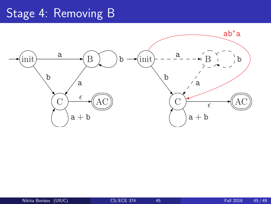# Stage 4: Removing B

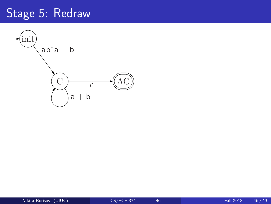## Stage 5: Redraw

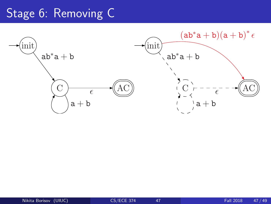## Stage 6: Removing C

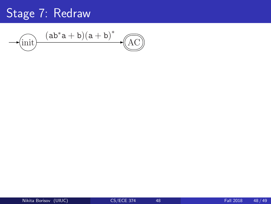## Stage 7: Redraw

init AC (ab∗a + b)(a + b) ∗